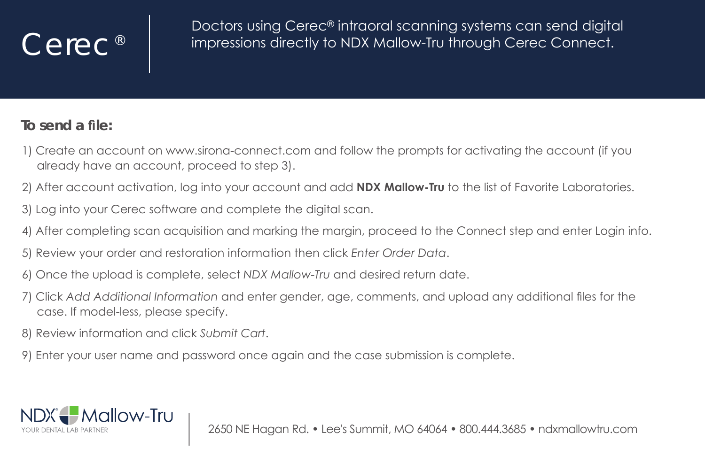## Cerec<sup>®</sup>

Doctors using Cerec® intraoral scanning systems can send digital impressions directly to NDX Mallow-Tru through Cerec Connect.

## To send a file:

- 1) Create an account on www.sirona-connect.com and follow the prompts for activatina the account (if you already have an account, proceed to step 3).
- 2) After account activation, log into your account and add **NDX Mallow-Tru** to the list of Favorite Laboratories.
- 3) Log into your Cerec software and complete the digital scan.
- 4) After completing scan acquisition and marking the margin, proceed to the Connect step and enter Login info.
- 5) Review your order and restoration information then click Enter Order Data.
- 6) Once the upload is complete, select NDX Mallow-Tru and desired return date.
- 7) Click Add Additional Information and enter gender, age, comments, and upload any additional files for the case. If model-less, please specify.
- 8) Review information and click Submit Cart.
- 9) Enter your user name and password once again and the case submission is complete.